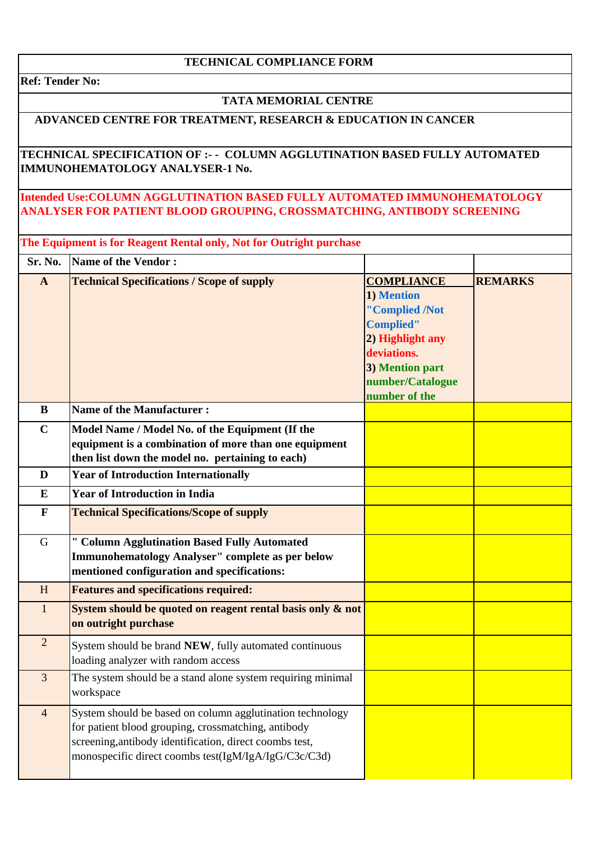### **TECHNICAL COMPLIANCE FORM**

**Ref: Tender No:** 

### **TATA MEMORIAL CENTRE**

# **ADVANCED CENTRE FOR TREATMENT, RESEARCH & EDUCATION IN CANCER**

### **TECHNICAL SPECIFICATION OF :- - COLUMN AGGLUTINATION BASED FULLY AUTOMATED IMMUNOHEMATOLOGY ANALYSER-1 No.**

## **Intended Use:COLUMN AGGLUTINATION BASED FULLY AUTOMATED IMMUNOHEMATOLOGY ANALYSER FOR PATIENT BLOOD GROUPING, CROSSMATCHING, ANTIBODY SCREENING**

| The Equipment is for Reagent Rental only, Not for Outright purchase |                                                                                                                                                                                                                                     |                                                                                                                                                                  |                |
|---------------------------------------------------------------------|-------------------------------------------------------------------------------------------------------------------------------------------------------------------------------------------------------------------------------------|------------------------------------------------------------------------------------------------------------------------------------------------------------------|----------------|
| Sr. No.                                                             | <b>Name of the Vendor:</b>                                                                                                                                                                                                          |                                                                                                                                                                  |                |
| $\mathbf{A}$                                                        | <b>Technical Specifications / Scope of supply</b>                                                                                                                                                                                   | <b>COMPLIANCE</b><br>1) Mention<br>"Complied /Not<br><b>Complied"</b><br>2) Highlight any<br>deviations.<br>3) Mention part<br>number/Catalogue<br>number of the | <b>REMARKS</b> |
| $\bf{B}$                                                            | <b>Name of the Manufacturer:</b>                                                                                                                                                                                                    |                                                                                                                                                                  |                |
| $\mathbf C$                                                         | Model Name / Model No. of the Equipment (If the<br>equipment is a combination of more than one equipment<br>then list down the model no. pertaining to each)                                                                        |                                                                                                                                                                  |                |
| D                                                                   | <b>Year of Introduction Internationally</b>                                                                                                                                                                                         |                                                                                                                                                                  |                |
| ${\bf E}$                                                           | <b>Year of Introduction in India</b>                                                                                                                                                                                                |                                                                                                                                                                  |                |
| $\mathbf{F}$                                                        | <b>Technical Specifications/Scope of supply</b>                                                                                                                                                                                     |                                                                                                                                                                  |                |
| $\mathbf G$                                                         | " Column Agglutination Based Fully Automated<br><b>Immunohematology Analyser" complete as per below</b><br>mentioned configuration and specifications:                                                                              |                                                                                                                                                                  |                |
| H                                                                   | <b>Features and specifications required:</b>                                                                                                                                                                                        |                                                                                                                                                                  |                |
| $\mathbf{1}$                                                        | System should be quoted on reagent rental basis only & not<br>on outright purchase                                                                                                                                                  |                                                                                                                                                                  |                |
| $\overline{2}$                                                      | System should be brand NEW, fully automated continuous<br>loading analyzer with random access                                                                                                                                       |                                                                                                                                                                  |                |
| 3                                                                   | The system should be a stand alone system requiring minimal<br>workspace                                                                                                                                                            |                                                                                                                                                                  |                |
| $\overline{4}$                                                      | System should be based on column agglutination technology<br>for patient blood grouping, crossmatching, antibody<br>screening, antibody identification, direct coombs test,<br>monospecific direct coombs test(IgM/IgA/IgG/C3c/C3d) |                                                                                                                                                                  |                |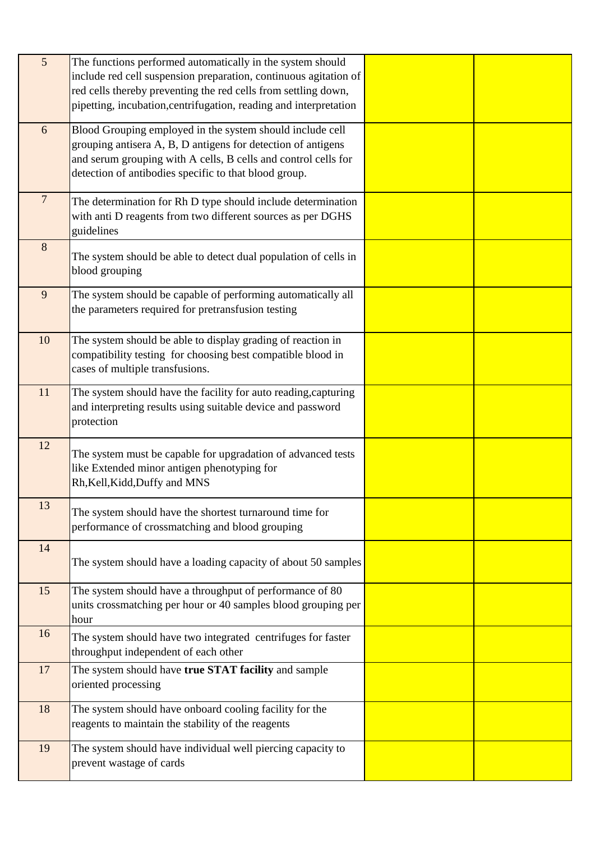| $\overline{5}$ | The functions performed automatically in the system should<br>include red cell suspension preparation, continuous agitation of<br>red cells thereby preventing the red cells from settling down,<br>pipetting, incubation, centrifugation, reading and interpretation |  |
|----------------|-----------------------------------------------------------------------------------------------------------------------------------------------------------------------------------------------------------------------------------------------------------------------|--|
| 6              | Blood Grouping employed in the system should include cell<br>grouping antisera A, B, D antigens for detection of antigens<br>and serum grouping with A cells, B cells and control cells for<br>detection of antibodies specific to that blood group.                  |  |
| $\overline{7}$ | The determination for Rh D type should include determination<br>with anti D reagents from two different sources as per DGHS<br>guidelines                                                                                                                             |  |
| 8              | The system should be able to detect dual population of cells in<br>blood grouping                                                                                                                                                                                     |  |
| 9              | The system should be capable of performing automatically all<br>the parameters required for pretransfusion testing                                                                                                                                                    |  |
| 10             | The system should be able to display grading of reaction in<br>compatibility testing for choosing best compatible blood in<br>cases of multiple transfusions.                                                                                                         |  |
| 11             | The system should have the facility for auto reading, capturing<br>and interpreting results using suitable device and password<br>protection                                                                                                                          |  |
| 12             | The system must be capable for upgradation of advanced tests<br>like Extended minor antigen phenotyping for<br>Rh, Kell, Kidd, Duffy and MNS                                                                                                                          |  |
| 13             | The system should have the shortest turnaround time for<br>performance of crossmatching and blood grouping                                                                                                                                                            |  |
| 14             | The system should have a loading capacity of about 50 samples                                                                                                                                                                                                         |  |
| 15             | The system should have a throughput of performance of 80<br>units crossmatching per hour or 40 samples blood grouping per<br>hour                                                                                                                                     |  |
| 16             | The system should have two integrated centrifuges for faster<br>throughput independent of each other                                                                                                                                                                  |  |
| 17             | The system should have true STAT facility and sample<br>oriented processing                                                                                                                                                                                           |  |
| 18             | The system should have onboard cooling facility for the<br>reagents to maintain the stability of the reagents                                                                                                                                                         |  |
| 19             | The system should have individual well piercing capacity to<br>prevent wastage of cards                                                                                                                                                                               |  |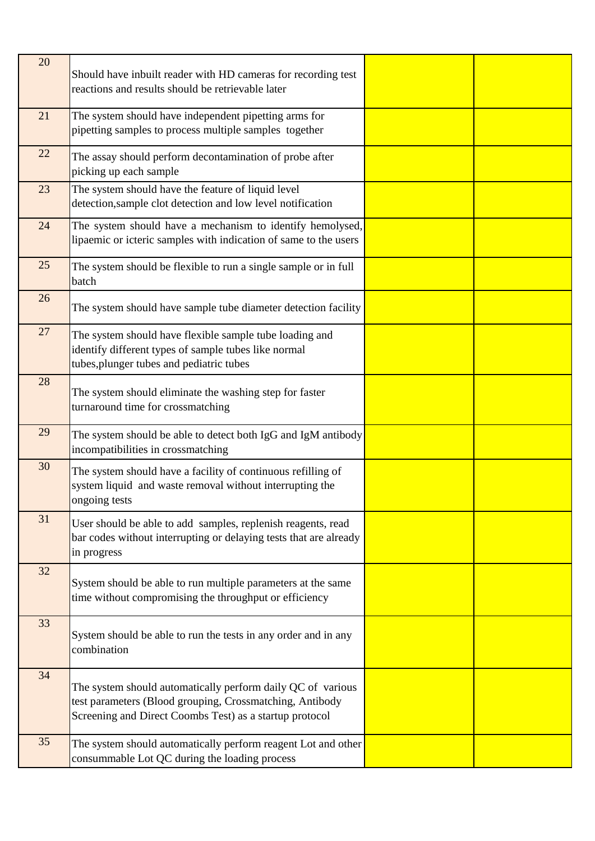| 20 | Should have inbuilt reader with HD cameras for recording test<br>reactions and results should be retrievable later                                                                 |  |
|----|------------------------------------------------------------------------------------------------------------------------------------------------------------------------------------|--|
| 21 | The system should have independent pipetting arms for<br>pipetting samples to process multiple samples together                                                                    |  |
| 22 | The assay should perform decontamination of probe after<br>picking up each sample                                                                                                  |  |
| 23 | The system should have the feature of liquid level<br>detection, sample clot detection and low level notification                                                                  |  |
| 24 | The system should have a mechanism to identify hemolysed,<br>lipaemic or icteric samples with indication of same to the users                                                      |  |
| 25 | The system should be flexible to run a single sample or in full<br>batch                                                                                                           |  |
| 26 | The system should have sample tube diameter detection facility                                                                                                                     |  |
| 27 | The system should have flexible sample tube loading and<br>identify different types of sample tubes like normal<br>tubes, plunger tubes and pediatric tubes                        |  |
| 28 | The system should eliminate the washing step for faster<br>turnaround time for crossmatching                                                                                       |  |
| 29 | The system should be able to detect both IgG and IgM antibody<br>incompatibilities in crossmatching                                                                                |  |
| 30 | The system should have a facility of continuous refilling of<br>system liquid and waste removal without interrupting the<br>ongoing tests                                          |  |
| 31 | User should be able to add samples, replenish reagents, read<br>bar codes without interrupting or delaying tests that are already<br>in progress                                   |  |
| 32 | System should be able to run multiple parameters at the same<br>time without compromising the throughput or efficiency                                                             |  |
| 33 | System should be able to run the tests in any order and in any<br>combination                                                                                                      |  |
| 34 | The system should automatically perform daily QC of various<br>test parameters (Blood grouping, Crossmatching, Antibody<br>Screening and Direct Coombs Test) as a startup protocol |  |
| 35 | The system should automatically perform reagent Lot and other<br>consummable Lot QC during the loading process                                                                     |  |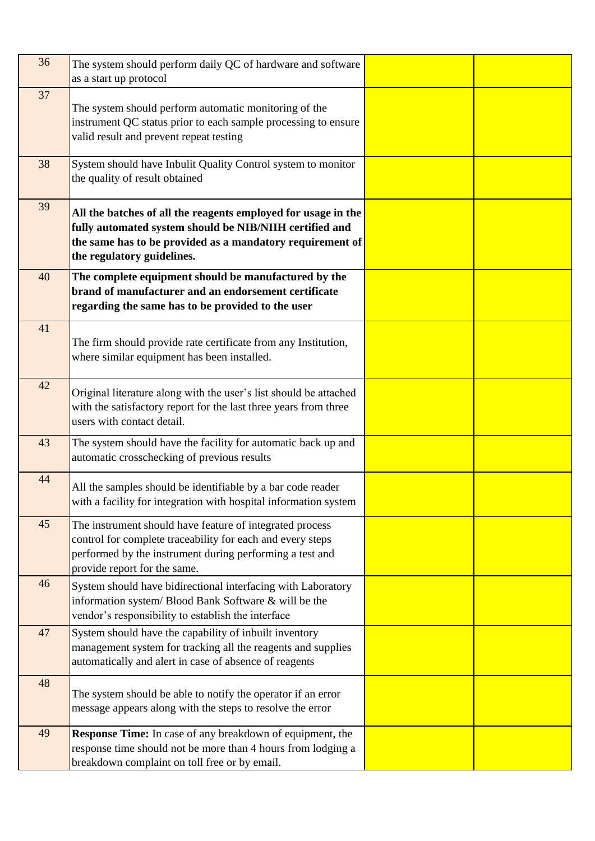| 36 | The system should perform daily QC of hardware and software<br>as a start up protocol                                                                                                                               |  |
|----|---------------------------------------------------------------------------------------------------------------------------------------------------------------------------------------------------------------------|--|
| 37 | The system should perform automatic monitoring of the<br>instrument QC status prior to each sample processing to ensure<br>valid result and prevent repeat testing                                                  |  |
| 38 | System should have Inbulit Quality Control system to monitor<br>the quality of result obtained                                                                                                                      |  |
| 39 | All the batches of all the reagents employed for usage in the<br>fully automated system should be NIB/NIIH certified and<br>the same has to be provided as a mandatory requirement of<br>the regulatory guidelines. |  |
| 40 | The complete equipment should be manufactured by the<br>brand of manufacturer and an endorsement certificate<br>regarding the same has to be provided to the user                                                   |  |
| 41 | The firm should provide rate certificate from any Institution,<br>where similar equipment has been installed.                                                                                                       |  |
| 42 | Original literature along with the user's list should be attached<br>with the satisfactory report for the last three years from three<br>users with contact detail.                                                 |  |
| 43 | The system should have the facility for automatic back up and<br>automatic crosschecking of previous results                                                                                                        |  |
| 44 | All the samples should be identifiable by a bar code reader<br>with a facility for integration with hospital information system                                                                                     |  |
| 45 | The instrument should have feature of integrated process<br>control for complete traceability for each and every steps<br>performed by the instrument during performing a test and<br>provide report for the same.  |  |
| 46 | System should have bidirectional interfacing with Laboratory<br>information system/ Blood Bank Software & will be the<br>vendor's responsibility to establish the interface                                         |  |
| 47 | System should have the capability of inbuilt inventory<br>management system for tracking all the reagents and supplies<br>automatically and alert in case of absence of reagents                                    |  |
| 48 | The system should be able to notify the operator if an error<br>message appears along with the steps to resolve the error                                                                                           |  |
| 49 | <b>Response Time:</b> In case of any breakdown of equipment, the<br>response time should not be more than 4 hours from lodging a<br>breakdown complaint on toll free or by email.                                   |  |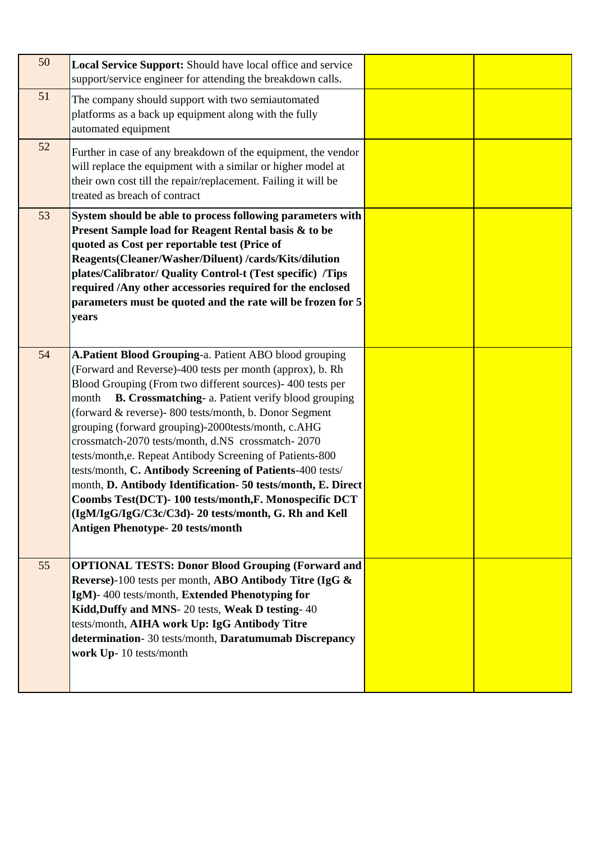| 50 | <b>Local Service Support:</b> Should have local office and service<br>support/service engineer for attending the breakdown calls.                                                                                                                                                                                                                                                                                                                                                                                                                                                                                                                                                                                                                                         |  |
|----|---------------------------------------------------------------------------------------------------------------------------------------------------------------------------------------------------------------------------------------------------------------------------------------------------------------------------------------------------------------------------------------------------------------------------------------------------------------------------------------------------------------------------------------------------------------------------------------------------------------------------------------------------------------------------------------------------------------------------------------------------------------------------|--|
| 51 | The company should support with two semiautomated<br>platforms as a back up equipment along with the fully<br>automated equipment                                                                                                                                                                                                                                                                                                                                                                                                                                                                                                                                                                                                                                         |  |
| 52 | Further in case of any breakdown of the equipment, the vendor<br>will replace the equipment with a similar or higher model at<br>their own cost till the repair/replacement. Failing it will be<br>treated as breach of contract                                                                                                                                                                                                                                                                                                                                                                                                                                                                                                                                          |  |
| 53 | System should be able to process following parameters with<br>Present Sample load for Reagent Rental basis & to be<br>quoted as Cost per reportable test (Price of<br>Reagents(Cleaner/Washer/Diluent) /cards/Kits/dilution<br>plates/Calibrator/ Quality Control-t (Test specific) /Tips<br>required /Any other accessories required for the enclosed<br>parameters must be quoted and the rate will be frozen for 5<br>years                                                                                                                                                                                                                                                                                                                                            |  |
| 54 | A.Patient Blood Grouping-a. Patient ABO blood grouping<br>(Forward and Reverse)-400 tests per month (approx), b. Rh<br>Blood Grouping (From two different sources)- 400 tests per<br>B. Crossmatching- a. Patient verify blood grouping<br>month<br>(forward & reverse)-800 tests/month, b. Donor Segment<br>grouping (forward grouping)-2000tests/month, c.AHG<br>crossmatch-2070 tests/month, d.NS crossmatch-2070<br>tests/month, e. Repeat Antibody Screening of Patients-800<br>tests/month, C. Antibody Screening of Patients-400 tests/<br>month, D. Antibody Identification- 50 tests/month, E. Direct<br>Coombs Test(DCT)-100 tests/month,F. Monospecific DCT<br>(IgM/IgG/IgG/C3c/C3d)-20 tests/month, G. Rh and Kell<br><b>Antigen Phenotype-20 tests/month</b> |  |
| 55 | <b>OPTIONAL TESTS: Donor Blood Grouping (Forward and</b><br>Reverse)-100 tests per month, ABO Antibody Titre (IgG &<br>IgM)-400 tests/month, Extended Phenotyping for<br>Kidd, Duffy and MNS-20 tests, Weak D testing-40<br>tests/month, AIHA work Up: IgG Antibody Titre<br>determination- 30 tests/month, Daratumumab Discrepancy<br>work Up-10 tests/month                                                                                                                                                                                                                                                                                                                                                                                                             |  |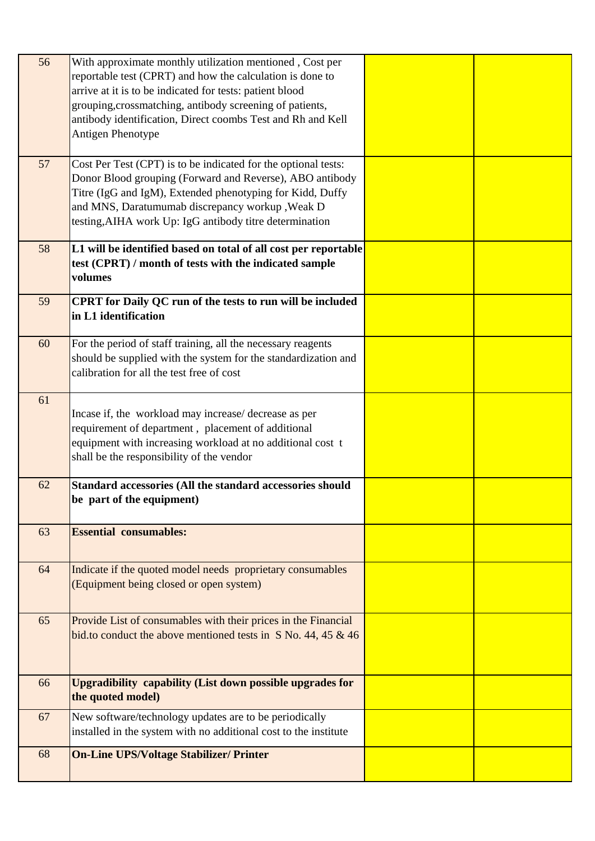| 56 | With approximate monthly utilization mentioned, Cost per<br>reportable test (CPRT) and how the calculation is done to<br>arrive at it is to be indicated for tests: patient blood<br>grouping, crossmatching, antibody screening of patients,<br>antibody identification, Direct coombs Test and Rh and Kell<br>Antigen Phenotype |  |
|----|-----------------------------------------------------------------------------------------------------------------------------------------------------------------------------------------------------------------------------------------------------------------------------------------------------------------------------------|--|
| 57 | Cost Per Test (CPT) is to be indicated for the optional tests:<br>Donor Blood grouping (Forward and Reverse), ABO antibody<br>Titre (IgG and IgM), Extended phenotyping for Kidd, Duffy<br>and MNS, Daratumumab discrepancy workup , Weak D<br>testing, AIHA work Up: IgG antibody titre determination                            |  |
| 58 | L1 will be identified based on total of all cost per reportable<br>test (CPRT) / month of tests with the indicated sample<br>volumes                                                                                                                                                                                              |  |
| 59 | CPRT for Daily QC run of the tests to run will be included<br>in L1 identification                                                                                                                                                                                                                                                |  |
| 60 | For the period of staff training, all the necessary reagents<br>should be supplied with the system for the standardization and<br>calibration for all the test free of cost                                                                                                                                                       |  |
| 61 | Incase if, the workload may increase/ decrease as per<br>requirement of department, placement of additional<br>equipment with increasing workload at no additional cost t<br>shall be the responsibility of the vendor                                                                                                            |  |
| 62 | Standard accessories (All the standard accessories should<br>be part of the equipment)                                                                                                                                                                                                                                            |  |
| 63 | <b>Essential consumables:</b>                                                                                                                                                                                                                                                                                                     |  |
| 64 | Indicate if the quoted model needs proprietary consumables<br>(Equipment being closed or open system)                                                                                                                                                                                                                             |  |
| 65 | Provide List of consumables with their prices in the Financial<br>bid.to conduct the above mentioned tests in S No. 44, 45 $\&$ 46                                                                                                                                                                                                |  |
| 66 | Upgradibility capability (List down possible upgrades for<br>the quoted model)                                                                                                                                                                                                                                                    |  |
| 67 | New software/technology updates are to be periodically<br>installed in the system with no additional cost to the institute                                                                                                                                                                                                        |  |
| 68 | <b>On-Line UPS/Voltage Stabilizer/ Printer</b>                                                                                                                                                                                                                                                                                    |  |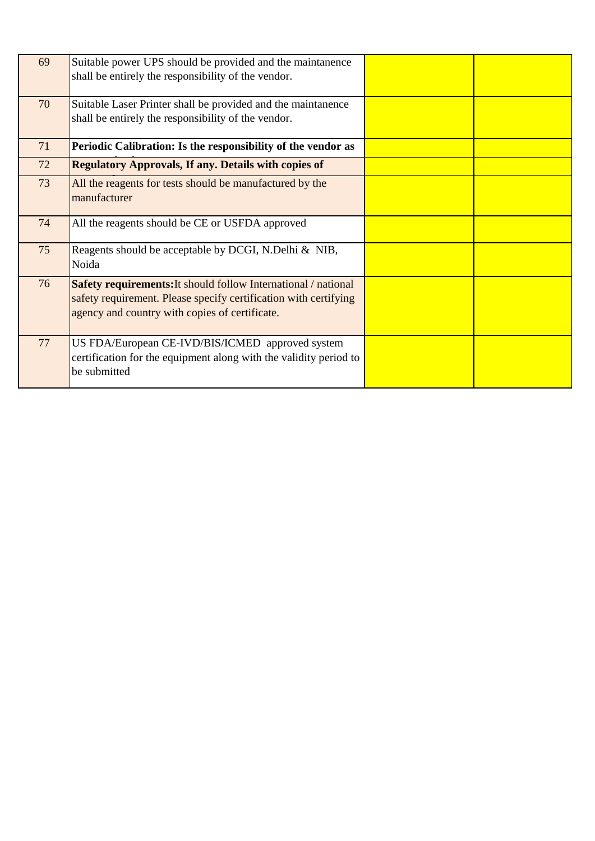| 69 | Suitable power UPS should be provided and the maintanence<br>shall be entirely the responsibility of the vendor.                                                                     |  |
|----|--------------------------------------------------------------------------------------------------------------------------------------------------------------------------------------|--|
| 70 | Suitable Laser Printer shall be provided and the maintanence<br>shall be entirely the responsibility of the vendor.                                                                  |  |
| 71 | Periodic Calibration: Is the responsibility of the vendor as                                                                                                                         |  |
| 72 | <b>Regulatory Approvals, If any. Details with copies of</b>                                                                                                                          |  |
| 73 | All the reagents for tests should be manufactured by the<br>manufacturer                                                                                                             |  |
| 74 | All the reagents should be CE or USFDA approved                                                                                                                                      |  |
| 75 | Reagents should be acceptable by DCGI, N.Delhi & NIB,<br>Noida                                                                                                                       |  |
| 76 | Safety requirements: It should follow International / national<br>safety requirement. Please specify certification with certifying<br>agency and country with copies of certificate. |  |
| 77 | US FDA/European CE-IVD/BIS/ICMED approved system<br>certification for the equipment along with the validity period to<br>be submitted                                                |  |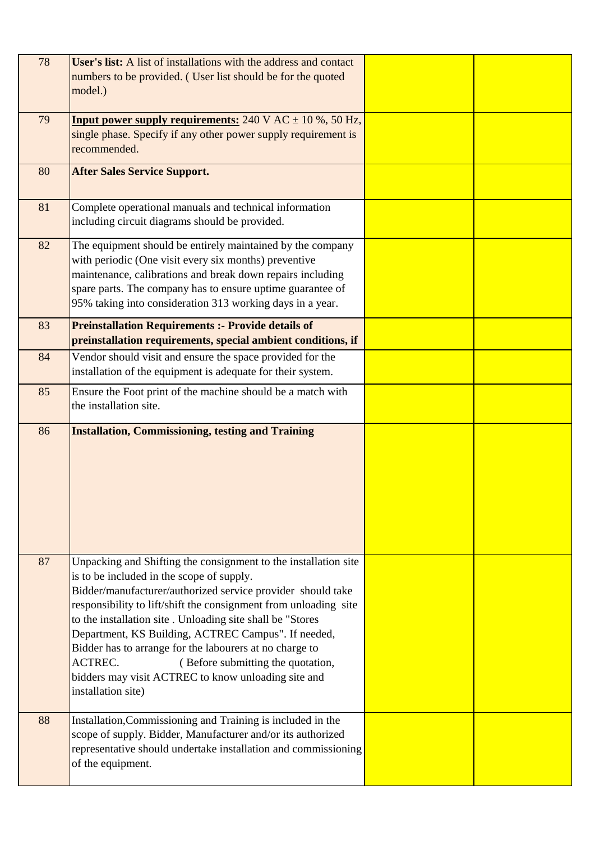| 78 | User's list: A list of installations with the address and contact<br>numbers to be provided. (User list should be for the quoted<br>model.)                                                                                                                                                                                                                                                                                                                                                                                                                  |  |
|----|--------------------------------------------------------------------------------------------------------------------------------------------------------------------------------------------------------------------------------------------------------------------------------------------------------------------------------------------------------------------------------------------------------------------------------------------------------------------------------------------------------------------------------------------------------------|--|
| 79 | <b>Input power supply requirements:</b> $240 \text{ V AC} \pm 10 \%$ , 50 Hz,<br>single phase. Specify if any other power supply requirement is<br>recommended.                                                                                                                                                                                                                                                                                                                                                                                              |  |
| 80 | <b>After Sales Service Support.</b>                                                                                                                                                                                                                                                                                                                                                                                                                                                                                                                          |  |
| 81 | Complete operational manuals and technical information<br>including circuit diagrams should be provided.                                                                                                                                                                                                                                                                                                                                                                                                                                                     |  |
| 82 | The equipment should be entirely maintained by the company<br>with periodic (One visit every six months) preventive<br>maintenance, calibrations and break down repairs including<br>spare parts. The company has to ensure uptime guarantee of<br>95% taking into consideration 313 working days in a year.                                                                                                                                                                                                                                                 |  |
| 83 | <b>Preinstallation Requirements :- Provide details of</b><br>preinstallation requirements, special ambient conditions, if                                                                                                                                                                                                                                                                                                                                                                                                                                    |  |
| 84 | Vendor should visit and ensure the space provided for the<br>installation of the equipment is adequate for their system.                                                                                                                                                                                                                                                                                                                                                                                                                                     |  |
| 85 | Ensure the Foot print of the machine should be a match with<br>the installation site.                                                                                                                                                                                                                                                                                                                                                                                                                                                                        |  |
| 86 | <b>Installation, Commissioning, testing and Training</b>                                                                                                                                                                                                                                                                                                                                                                                                                                                                                                     |  |
| 87 | Unpacking and Shifting the consignment to the installation site<br>is to be included in the scope of supply.<br>Bidder/manufacturer/authorized service provider should take<br>responsibility to lift/shift the consignment from unloading site<br>to the installation site . Unloading site shall be "Stores<br>Department, KS Building, ACTREC Campus". If needed,<br>Bidder has to arrange for the labourers at no charge to<br>ACTREC.<br>(Before submitting the quotation,<br>bidders may visit ACTREC to know unloading site and<br>installation site) |  |
| 88 | Installation, Commissioning and Training is included in the<br>scope of supply. Bidder, Manufacturer and/or its authorized<br>representative should undertake installation and commissioning<br>of the equipment.                                                                                                                                                                                                                                                                                                                                            |  |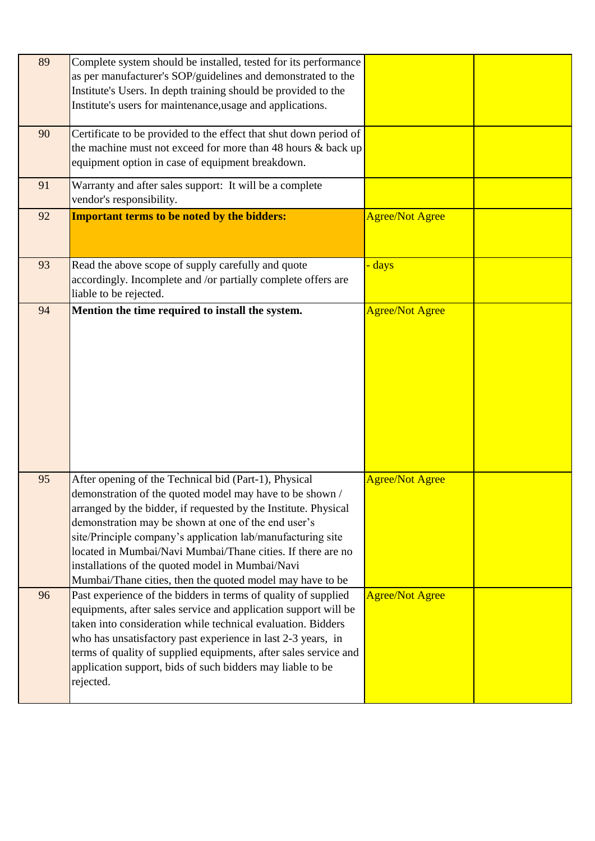| 89 | Complete system should be installed, tested for its performance<br>as per manufacturer's SOP/guidelines and demonstrated to the<br>Institute's Users. In depth training should be provided to the<br>Institute's users for maintenance, usage and applications.                                                                                                                                                                                                                            |                        |  |
|----|--------------------------------------------------------------------------------------------------------------------------------------------------------------------------------------------------------------------------------------------------------------------------------------------------------------------------------------------------------------------------------------------------------------------------------------------------------------------------------------------|------------------------|--|
| 90 | Certificate to be provided to the effect that shut down period of<br>the machine must not exceed for more than 48 hours $\&$ back up<br>equipment option in case of equipment breakdown.                                                                                                                                                                                                                                                                                                   |                        |  |
| 91 | Warranty and after sales support: It will be a complete<br>vendor's responsibility.                                                                                                                                                                                                                                                                                                                                                                                                        |                        |  |
| 92 | <b>Important terms to be noted by the bidders:</b>                                                                                                                                                                                                                                                                                                                                                                                                                                         | <b>Agree/Not Agree</b> |  |
| 93 | Read the above scope of supply carefully and quote<br>accordingly. Incomplete and /or partially complete offers are<br>liable to be rejected.                                                                                                                                                                                                                                                                                                                                              | - days                 |  |
| 94 | Mention the time required to install the system.                                                                                                                                                                                                                                                                                                                                                                                                                                           | <b>Agree/Not Agree</b> |  |
| 95 | After opening of the Technical bid (Part-1), Physical<br>demonstration of the quoted model may have to be shown /<br>arranged by the bidder, if requested by the Institute. Physical<br>demonstration may be shown at one of the end user's<br>site/Principle company's application lab/manufacturing site<br>located in Mumbai/Navi Mumbai/Thane cities. If there are no<br>installations of the quoted model in Mumbai/Navi<br>Mumbai/Thane cities, then the quoted model may have to be | <b>Agree/Not Agree</b> |  |
| 96 | Past experience of the bidders in terms of quality of supplied<br>equipments, after sales service and application support will be<br>taken into consideration while technical evaluation. Bidders<br>who has unsatisfactory past experience in last 2-3 years, in<br>terms of quality of supplied equipments, after sales service and<br>application support, bids of such bidders may liable to be<br>rejected.                                                                           | <b>Agree/Not Agree</b> |  |